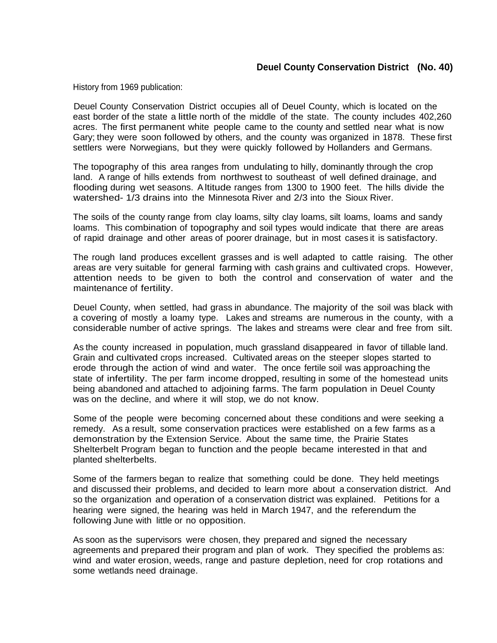## **Deuel County Conservation District (No. 40)**

History from 1969 publication:

Deuel County Conservation District occupies all of Deuel County, which is located on the east border of the state a little north of the middle of the state. The county includes 402,260 acres. The first permanent white people came to the county and settled near what is now Gary; they were soon followed by others, and the county was organized in 1878. These first settlers were Norwegians, but they were quickly followed by Hollanders and Germans.

The topography of this area ranges from undulating to hilly, dominantly through the crop land. A range of hills extends from northwest to southeast of well defined drainage, and flooding during wet seasons. Altitude ranges from 1300 to 1900 feet. The hills divide the watershed- 1/3 drains into the Minnesota River and 2/3 into the Sioux River.

The soils of the county range from clay loams, silty clay loams, silt loams, loams and sandy loams. This combination of topography and soil types would indicate that there are areas of rapid drainage and other areas of poorer drainage, but in most cases it is satisfactory.

The rough land produces excellent grasses and is well adapted to cattle raising. The other areas are very suitable for general farming with cash grains and cultivated crops. However, attention needs to be given to both the control and conservation of water and the maintenance of fertility.

Deuel County, when settled, had grass in abundance. The majority of the soil was black with a covering of mostly a loamy type. Lakes and streams are numerous in the county, with a considerable number of active springs. The lakes and streams were clear and free from silt.

As the county increased in population, much grassland disappeared in favor of tillable land. Grain and cultivated crops increased. Cultivated areas on the steeper slopes started to erode through the action of wind and water. The once fertile soil was approaching the state of infertility. The per farm income dropped, resulting in some of the homestead units being abandoned and attached to adjoining farms. The farm population in Deuel County was on the decline, and where it will stop, we do not know.

Some of the people were becoming concerned about these conditions and were seeking a remedy. As a result, some conservation practices were established on a few farms as a demonstration by the Extension Service. About the same time, the Prairie States Shelterbelt Program began to function and the people became interested in that and planted shelterbelts.

Some of the farmers began to realize that something could be done. They held meetings and discussed their problems, and decided to learn more about a conservation district. And so the organization and operation of a conservation district was explained. Petitions for a hearing were signed, the hearing was held in March 1947, and the referendum the following June with little or no opposition.

As soon as the supervisors were chosen, they prepared and signed the necessary agreements and prepared their program and plan of work. They specified the problems as: wind and water erosion, weeds, range and pasture depletion, need for crop rotations and some wetlands need drainage.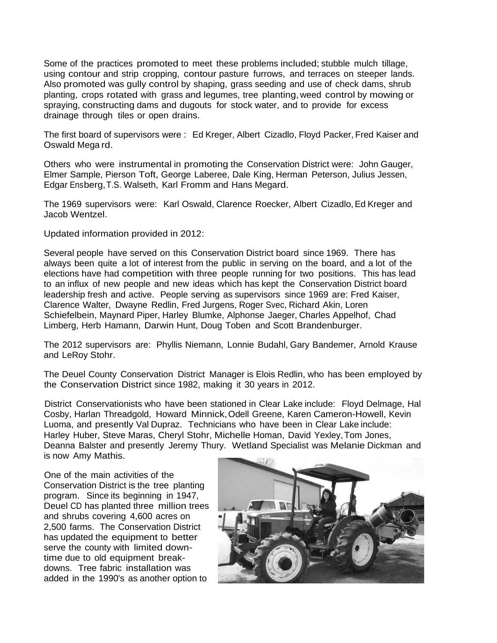Some of the practices promoted to meet these problems included; stubble mulch tillage, using contour and strip cropping, contour pasture furrows, and terraces on steeper lands. Also promoted was gully control by shaping, grass seeding and use of check dams, shrub planting, crops rotated with grass and legumes, tree planting, weed control by mowing or spraying, constructing dams and dugouts for stock water, and to provide for excess drainage through tiles or open drains.

The first board of supervisors were : Ed Kreger, Albert Cizadlo, Floyd Packer, Fred Kaiser and Oswald Mega rd.

Others who were instrumental in promoting the Conservation District were: John Gauger, Elmer Sample, Pierson Toft, George Laberee, Dale King, Herman Peterson, Julius Jessen, Edgar Ensberg,T.S. Walseth, Karl Fromm and Hans Megard.

The 1969 supervisors were: Karl Oswald, Clarence Roecker, Albert Cizadlo, Ed Kreger and Jacob Wentzel.

Updated information provided in 2012:

Several people have served on this Conservation District board since 1969. There has always been quite a lot of interest from the public in serving on the board, and a lot of the elections have had competition with three people running for two positions. This has lead to an influx of new people and new ideas which has kept the Conservation District board leadership fresh and active. People serving as supervisors since 1969 are: Fred Kaiser, Clarence Walter, Dwayne Redlin, Fred Jurgens, Roger Svec, Richard Akin, Loren Schiefelbein, Maynard Piper, Harley Blumke, Alphonse Jaeger, Charles Appelhof, Chad Limberg, Herb Hamann, Darwin Hunt, Doug Toben and Scott Brandenburger.

The 2012 supervisors are: Phyllis Niemann, Lonnie Budahl, Gary Bandemer, Arnold Krause and LeRoy Stohr.

The Deuel County Conservation District Manager is Elois Redlin, who has been employed by the Conservation District since 1982, making it 30 years in 2012.

District Conservationists who have been stationed in Clear Lake include: Floyd Delmage, Hal Cosby, Harlan Threadgold, Howard Minnick,Odell Greene, Karen Cameron-Howell, Kevin Luoma, and presently Val Dupraz. Technicians who have been in Clear Lake include: Harley Huber, Steve Maras, Cheryl Stohr, Michelle Homan, David Yexley,Tom Jones, Deanna Balster and presently Jeremy Thury. Wetland Specialist was Melanie Dickman and is now Amy Mathis.

One of the main activities of the Conservation District is the tree planting program. Since its beginning in 1947, Deuel CD has planted three million trees and shrubs covering 4,600 acres on 2,500 farms. The Conservation District has updated the equipment to better serve the county with limited downtime due to old equipment breakdowns. Tree fabric installation was added in the 1990's as another option to